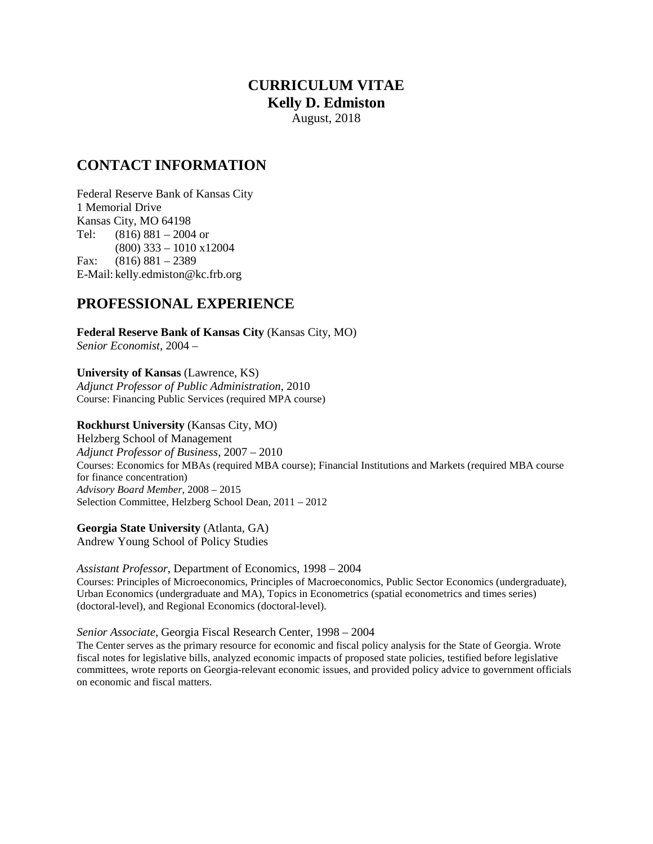### **CURRICULUM VITAE Kelly D. Edmiston** August, 2018

### **CONTACT INFORMATION**

Federal Reserve Bank of Kansas City 1 Memorial Drive Kansas City, MO 64198 Tel: (816) 881 – 2004 or (800) 333 – 1010 x12004 Fax: (816) 881 – 2389 E-Mail: kelly.edmiston@kc.frb.org

### **PROFESSIONAL EXPERIENCE**

**Federal Reserve Bank of Kansas City** (Kansas City, MO) *Senior Economist*, 2004 –

**University of Kansas** (Lawrence, KS) *Adjunct Professor of Public Administration*, 2010 Course: Financing Public Services (required MPA course)

**Rockhurst University** (Kansas City, MO) Helzberg School of Management

*Adjunct Professor of Business*, 2007 – 2010 Courses: Economics for MBAs (required MBA course); Financial Institutions and Markets (required MBA course for finance concentration) *Advisory Board Member*, 2008 – 2015 Selection Committee, Helzberg School Dean, 2011 – 2012

**Georgia State University** (Atlanta, GA)

Andrew Young School of Policy Studies

*Assistant Professor*, Department of Economics, 1998 – 2004

Courses: Principles of Microeconomics, Principles of Macroeconomics, Public Sector Economics (undergraduate), Urban Economics (undergraduate and MA), Topics in Econometrics (spatial econometrics and times series) (doctoral-level), and Regional Economics (doctoral-level).

*Senior Associate*, Georgia Fiscal Research Center, 1998 – 2004

The Center serves as the primary resource for economic and fiscal policy analysis for the State of Georgia. Wrote fiscal notes for legislative bills, analyzed economic impacts of proposed state policies, testified before legislative committees, wrote reports on Georgia-relevant economic issues, and provided policy advice to government officials on economic and fiscal matters.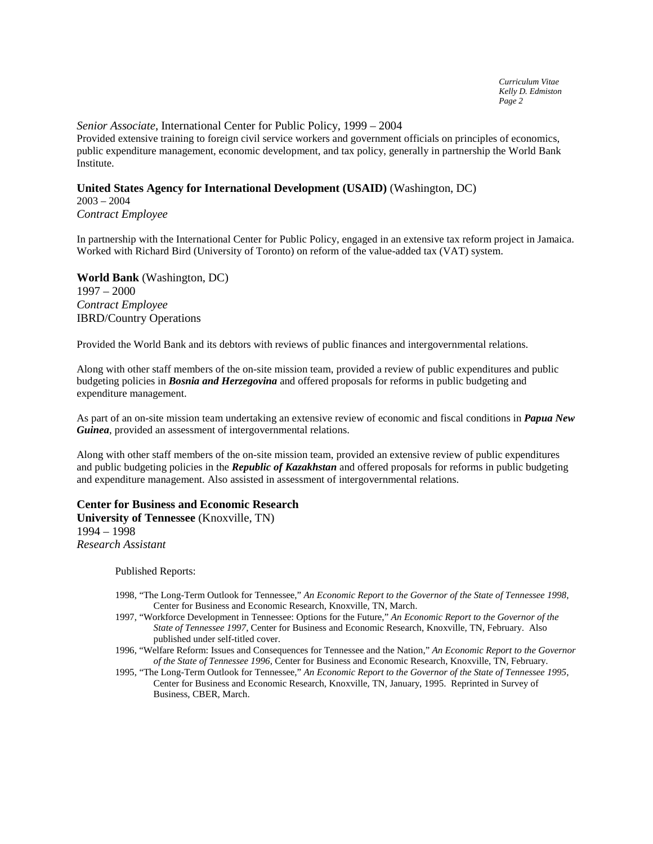#### *Senior Associate*, International Center for Public Policy, 1999 – 2004

Provided extensive training to foreign civil service workers and government officials on principles of economics, public expenditure management, economic development, and tax policy, generally in partnership the World Bank Institute.

### **United States Agency for International Development (USAID)** (Washington, DC)

2003 – 2004 *Contract Employee*

In partnership with the International Center for Public Policy, engaged in an extensive tax reform project in Jamaica. Worked with Richard Bird (University of Toronto) on reform of the value-added tax (VAT) system.

**World Bank** (Washington, DC) 1997 – 2000 *Contract Employee* IBRD/Country Operations

Provided the World Bank and its debtors with reviews of public finances and intergovernmental relations.

Along with other staff members of the on-site mission team, provided a review of public expenditures and public budgeting policies in *Bosnia and Herzegovina* and offered proposals for reforms in public budgeting and expenditure management.

As part of an on-site mission team undertaking an extensive review of economic and fiscal conditions in *Papua New Guinea*, provided an assessment of intergovernmental relations.

Along with other staff members of the on-site mission team, provided an extensive review of public expenditures and public budgeting policies in the *Republic of Kazakhstan* and offered proposals for reforms in public budgeting and expenditure management. Also assisted in assessment of intergovernmental relations.

**Center for Business and Economic Research University of Tennessee** (Knoxville, TN) 1994 – 1998 *Research Assistant*

Published Reports:

- 1998, "The Long-Term Outlook for Tennessee," *An Economic Report to the Governor of the State of Tennessee 1998*, Center for Business and Economic Research, Knoxville, TN, March.
- 1997, "Workforce Development in Tennessee: Options for the Future," *An Economic Report to the Governor of the State of Tennessee 1997*, Center for Business and Economic Research, Knoxville, TN, February. Also published under self-titled cover.
- 1996, "Welfare Reform: Issues and Consequences for Tennessee and the Nation," *An Economic Report to the Governor of the State of Tennessee 1996*, Center for Business and Economic Research, Knoxville, TN, February.
- 1995, "The Long-Term Outlook for Tennessee," *An Economic Report to the Governor of the State of Tennessee 1995*, Center for Business and Economic Research, Knoxville, TN, January, 1995. Reprinted in Survey of Business, CBER, March.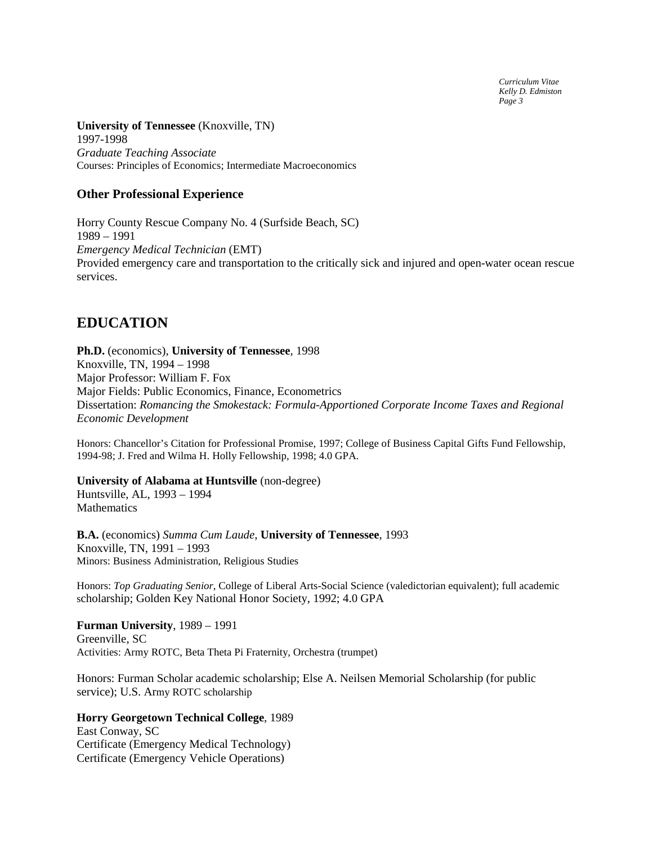*Curriculum Vitae Kelly D. Edmiston Page 3*

**University of Tennessee** (Knoxville, TN) 1997-1998 *Graduate Teaching Associate* Courses: Principles of Economics; Intermediate Macroeconomics

### **Other Professional Experience**

Horry County Rescue Company No. 4 (Surfside Beach, SC) 1989 – 1991 *Emergency Medical Technician* (EMT) Provided emergency care and transportation to the critically sick and injured and open-water ocean rescue services.

### **EDUCATION**

**Ph.D.** (economics), **University of Tennessee**, 1998 Knoxville, TN, 1994 – 1998 Major Professor: William F. Fox Major Fields: Public Economics, Finance, Econometrics Dissertation: *Romancing the Smokestack: Formula-Apportioned Corporate Income Taxes and Regional Economic Development*

Honors: Chancellor's Citation for Professional Promise, 1997; College of Business Capital Gifts Fund Fellowship, 1994-98; J. Fred and Wilma H. Holly Fellowship, 1998; 4.0 GPA.

### **University of Alabama at Huntsville** (non-degree)

Huntsville, AL, 1993 – 1994 **Mathematics** 

**B.A.** (economics) *Summa Cum Laude*, **University of Tennessee**, 1993 Knoxville, TN, 1991 – 1993 Minors: Business Administration, Religious Studies

Honors: *Top Graduating Senior*, College of Liberal Arts-Social Science (valedictorian equivalent); full academic scholarship; Golden Key National Honor Society, 1992; 4.0 GPA

**Furman University**, 1989 – 1991 Greenville, SC Activities: Army ROTC, Beta Theta Pi Fraternity, Orchestra (trumpet)

Honors: Furman Scholar academic scholarship; Else A. Neilsen Memorial Scholarship (for public service); U.S. Army ROTC scholarship

**Horry Georgetown Technical College**, 1989 East Conway, SC Certificate (Emergency Medical Technology) Certificate (Emergency Vehicle Operations)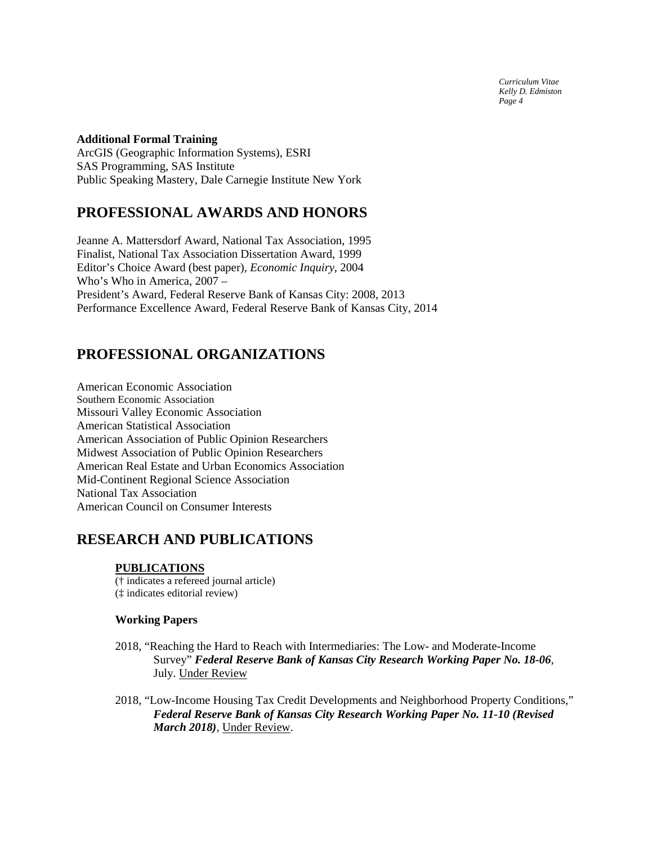*Curriculum Vitae Kelly D. Edmiston Page 4*

### **Additional Formal Training**

ArcGIS (Geographic Information Systems), ESRI SAS Programming, SAS Institute Public Speaking Mastery, Dale Carnegie Institute New York

# **PROFESSIONAL AWARDS AND HONORS**

Jeanne A. Mattersdorf Award, National Tax Association, 1995 Finalist, National Tax Association Dissertation Award, 1999 Editor's Choice Award (best paper), *Economic Inquiry*, 2004 Who's Who in America, 2007 – President's Award, Federal Reserve Bank of Kansas City: 2008, 2013 Performance Excellence Award, Federal Reserve Bank of Kansas City, 2014

# **PROFESSIONAL ORGANIZATIONS**

American Economic Association Southern Economic Association Missouri Valley Economic Association American Statistical Association American Association of Public Opinion Researchers Midwest Association of Public Opinion Researchers American Real Estate and Urban Economics Association Mid-Continent Regional Science Association National Tax Association American Council on Consumer Interests

### **RESEARCH AND PUBLICATIONS**

### **PUBLICATIONS**

(† indicates a refereed journal article) (‡ indicates editorial review)

### **Working Papers**

- 2018, "Reaching the Hard to Reach with Intermediaries: The Low- and Moderate-Income Survey" *Federal Reserve Bank of Kansas City Research Working Paper No. 18-06*, July. Under Review
- 2018, "Low-Income Housing Tax Credit Developments and Neighborhood Property Conditions," *Federal Reserve Bank of Kansas City Research Working Paper No. 11-10 (Revised March 2018)*, Under Review.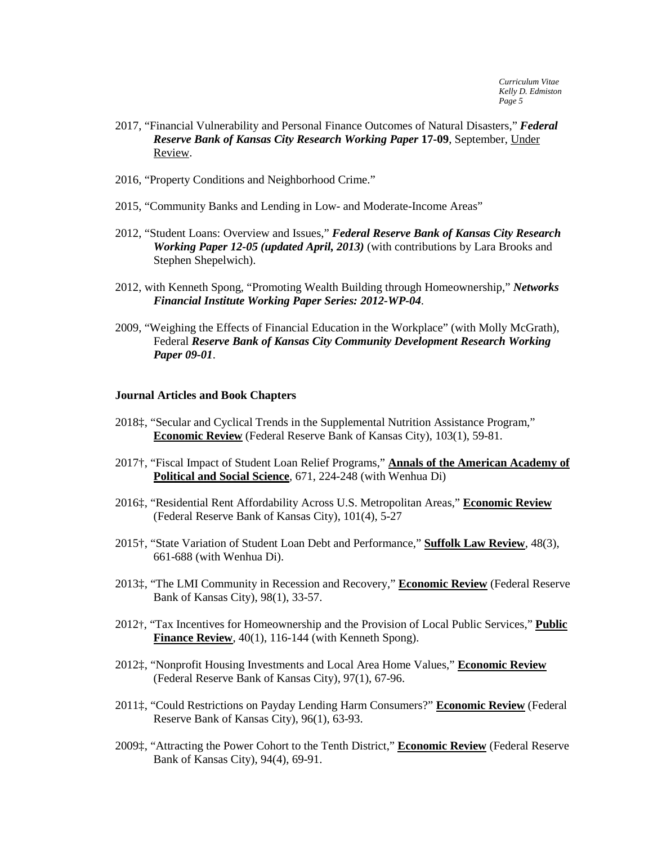- 2017, "Financial Vulnerability and Personal Finance Outcomes of Natural Disasters," *Federal Reserve Bank of Kansas City Research Working Paper* **17-09**, September, Under Review.
- 2016, "Property Conditions and Neighborhood Crime."
- 2015, "Community Banks and Lending in Low- and Moderate-Income Areas"
- 2012, "Student Loans: Overview and Issues," *Federal Reserve Bank of Kansas City Research Working Paper 12-05 (updated April, 2013)* (with contributions by Lara Brooks and Stephen Shepelwich).
- 2012, with Kenneth Spong, "Promoting Wealth Building through Homeownership," *Networks Financial Institute Working Paper Series: 2012-WP-04*.
- 2009, "Weighing the Effects of Financial Education in the Workplace" (with Molly McGrath), Federal *Reserve Bank of Kansas City Community Development Research Working Paper 09-01*.

#### **Journal Articles and Book Chapters**

- 2018‡, "Secular and Cyclical Trends in the Supplemental Nutrition Assistance Program," **Economic Review** (Federal Reserve Bank of Kansas City), 103(1), 59-81.
- 2017†, "Fiscal Impact of Student Loan Relief Programs," **Annals of the American Academy of Political and Social Science**, 671, 224-248 (with Wenhua Di)
- 2016‡, "Residential Rent Affordability Across U.S. Metropolitan Areas," **Economic Review** (Federal Reserve Bank of Kansas City), 101(4), 5-27
- 2015†, "State Variation of Student Loan Debt and Performance," **Suffolk Law Review**, 48(3), 661-688 (with Wenhua Di).
- 2013‡, "The LMI Community in Recession and Recovery," **Economic Review** (Federal Reserve Bank of Kansas City), 98(1), 33-57.
- 2012†, "Tax Incentives for Homeownership and the Provision of Local Public Services," **Public**  Finance Review, 40(1), 116-144 (with Kenneth Spong).
- 2012‡, "Nonprofit Housing Investments and Local Area Home Values," **Economic Review** (Federal Reserve Bank of Kansas City), 97(1), 67-96.
- 2011‡, "Could Restrictions on Payday Lending Harm Consumers?" **Economic Review** (Federal Reserve Bank of Kansas City), 96(1), 63-93.
- 2009‡, "Attracting the Power Cohort to the Tenth District," **Economic Review** (Federal Reserve Bank of Kansas City), 94(4), 69-91.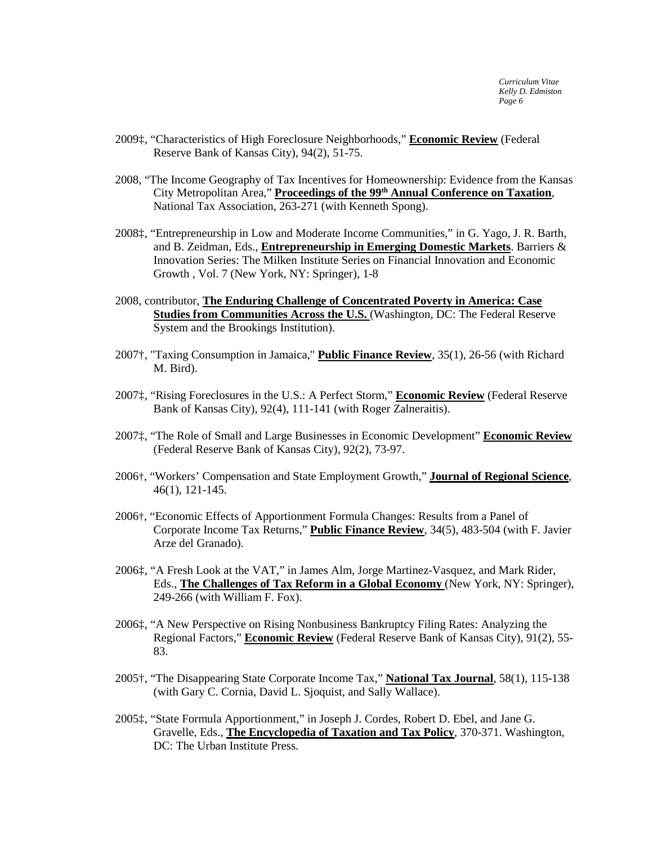- 2009‡, "Characteristics of High Foreclosure Neighborhoods," **Economic Review** (Federal Reserve Bank of Kansas City), 94(2), 51-75.
- 2008, "The Income Geography of Tax Incentives for Homeownership: Evidence from the Kansas City Metropolitan Area," **Proceedings of the 99th Annual Conference on Taxation**, National Tax Association, 263-271 (with Kenneth Spong).
- 2008‡, "Entrepreneurship in Low and Moderate Income Communities," in G. Yago, J. R. Barth, and B. Zeidman, Eds., **Entrepreneurship in Emerging Domestic Markets**. Barriers & Innovation Series: The Milken Institute Series on Financial Innovation and Economic Growth , Vol. 7 (New York, NY: Springer), 1-8
- 2008, contributor, **The Enduring Challenge of Concentrated Poverty in America: Case Studies from Communities Across the U.S.** (Washington, DC: The Federal Reserve System and the Brookings Institution).
- 2007†, "Taxing Consumption in Jamaica," **Public Finance Review**, 35(1), 26-56 (with Richard M. Bird).
- 2007‡, "Rising Foreclosures in the U.S.: A Perfect Storm," **Economic Review** (Federal Reserve Bank of Kansas City), 92(4), 111-141 (with Roger Zalneraitis).
- 2007‡, "The Role of Small and Large Businesses in Economic Development" **Economic Review** (Federal Reserve Bank of Kansas City), 92(2), 73-97.
- 2006†, "Workers' Compensation and State Employment Growth," **Journal of Regional Science**, 46(1), 121-145.
- 2006†, "Economic Effects of Apportionment Formula Changes: Results from a Panel of Corporate Income Tax Returns," **Public Finance Review**, 34(5), 483-504 (with F. Javier Arze del Granado).
- 2006‡, "A Fresh Look at the VAT," in James Alm, Jorge Martinez-Vasquez, and Mark Rider, Eds., **The Challenges of Tax Reform in a Global Economy** (New York, NY: Springer), 249-266 (with William F. Fox).
- 2006‡, "A New Perspective on Rising Nonbusiness Bankruptcy Filing Rates: Analyzing the Regional Factors," **Economic Review** (Federal Reserve Bank of Kansas City), 91(2), 55- 83.
- 2005†, "The Disappearing State Corporate Income Tax," **National Tax Journal**, 58(1), 115-138 (with Gary C. Cornia, David L. Sjoquist, and Sally Wallace).
- 2005‡, "State Formula Apportionment," in Joseph J. Cordes, Robert D. Ebel, and Jane G. Gravelle, Eds., **The Encyclopedia of Taxation and Tax Policy**, 370-371. Washington, DC: The Urban Institute Press.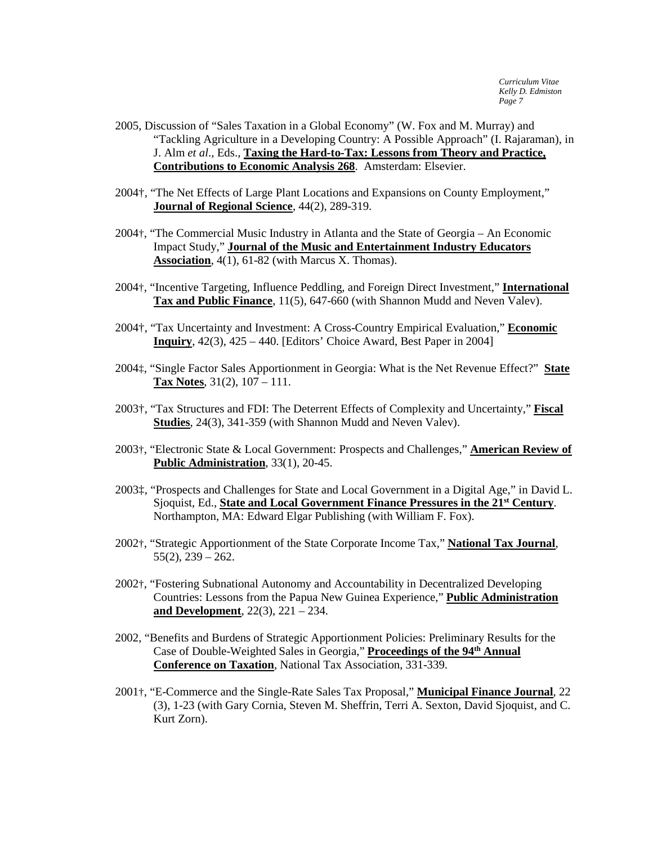- 2005, Discussion of "Sales Taxation in a Global Economy" (W. Fox and M. Murray) and "Tackling Agriculture in a Developing Country: A Possible Approach" (I. Rajaraman), in J. Alm *et al*., Eds., **Taxing the Hard-to-Tax: Lessons from Theory and Practice, Contributions to Economic Analysis 268**. Amsterdam: Elsevier.
- 2004†, "The Net Effects of Large Plant Locations and Expansions on County Employment," **Journal of Regional Science**, 44(2), 289-319.
- 2004†, "The Commercial Music Industry in Atlanta and the State of Georgia An Economic Impact Study," **Journal of the Music and Entertainment Industry Educators Association**, 4(1), 61-82 (with Marcus X. Thomas).
- 2004†, "Incentive Targeting, Influence Peddling, and Foreign Direct Investment," **International Tax and Public Finance**, 11(5), 647-660 (with Shannon Mudd and Neven Valev).
- 2004†, "Tax Uncertainty and Investment: A Cross-Country Empirical Evaluation," **Economic Inquiry**, 42(3), 425 – 440. [Editors' Choice Award, Best Paper in 2004]
- 2004‡, "Single Factor Sales Apportionment in Georgia: What is the Net Revenue Effect?" **State Tax Notes**, 31(2), 107 – 111.
- 2003†, "Tax Structures and FDI: The Deterrent Effects of Complexity and Uncertainty," **Fiscal Studies**, 24(3), 341-359 (with Shannon Mudd and Neven Valev).
- 2003†, "Electronic State & Local Government: Prospects and Challenges," **American Review of Public Administration**, 33(1), 20-45.
- 2003‡, "Prospects and Challenges for State and Local Government in a Digital Age," in David L. Sjoquist, Ed., **State and Local Government Finance Pressures in the 21st Century**. Northampton, MA: Edward Elgar Publishing (with William F. Fox).
- 2002†, "Strategic Apportionment of the State Corporate Income Tax," **National Tax Journal**,  $55(2)$ ,  $239 - 262$ .
- 2002†, "Fostering Subnational Autonomy and Accountability in Decentralized Developing Countries: Lessons from the Papua New Guinea Experience," **Public Administration and Development**, 22(3), 221 – 234.
- 2002, "Benefits and Burdens of Strategic Apportionment Policies: Preliminary Results for the Case of Double-Weighted Sales in Georgia," **Proceedings of the 94th Annual Conference on Taxation**, National Tax Association, 331-339.
- 2001†, "E-Commerce and the Single-Rate Sales Tax Proposal," **Municipal Finance Journal**, 22 (3), 1-23 (with Gary Cornia, Steven M. Sheffrin, Terri A. Sexton, David Sjoquist, and C. Kurt Zorn).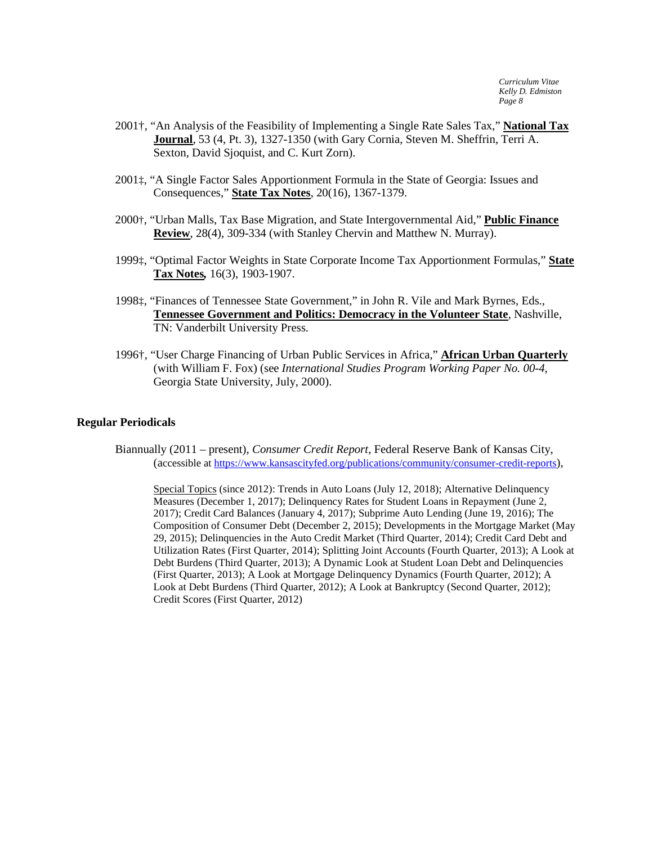- 2001†, "An Analysis of the Feasibility of Implementing a Single Rate Sales Tax," **National Tax Journal**, 53 (4, Pt. 3), 1327-1350 (with Gary Cornia, Steven M. Sheffrin, Terri A. Sexton, David Sjoquist, and C. Kurt Zorn).
- 2001‡, "A Single Factor Sales Apportionment Formula in the State of Georgia: Issues and Consequences," **State Tax Notes**, 20(16), 1367-1379.
- 2000†, "Urban Malls, Tax Base Migration, and State Intergovernmental Aid," **Public Finance Review**, 28(4), 309-334 (with Stanley Chervin and Matthew N. Murray).
- 1999‡, "Optimal Factor Weights in State Corporate Income Tax Apportionment Formulas," **State Tax Notes***,* 16(3), 1903-1907.
- 1998‡, "Finances of Tennessee State Government," in John R. Vile and Mark Byrnes, Eds., **Tennessee Government and Politics: Democracy in the Volunteer State**, Nashville, TN: Vanderbilt University Press.
- 1996†, "User Charge Financing of Urban Public Services in Africa," **African Urban Quarterly** (with William F. Fox) (see *International Studies Program Working Paper No. 00-4*, Georgia State University, July, 2000).

### **Regular Periodicals**

Biannually (2011 – present), *Consumer Credit Report*, Federal Reserve Bank of Kansas City, (accessible at [https://www.kansascityfed.org/publications/community/consumer-credit-reports\)](https://www.kansascityfed.org/publications/community/consumer-credit-reports),

Special Topics (since 2012): Trends in Auto Loans (July 12, 2018); Alternative Delinquency Measures (December 1, 2017); Delinquency Rates for Student Loans in Repayment (June 2, 2017); Credit Card Balances (January 4, 2017); Subprime Auto Lending (June 19, 2016); The Composition of Consumer Debt (December 2, 2015); Developments in the Mortgage Market (May 29, 2015); Delinquencies in the Auto Credit Market (Third Quarter, 2014); Credit Card Debt and Utilization Rates (First Quarter, 2014); Splitting Joint Accounts (Fourth Quarter, 2013); A Look at Debt Burdens (Third Quarter, 2013); A Dynamic Look at Student Loan Debt and Delinquencies (First Quarter, 2013); A Look at Mortgage Delinquency Dynamics (Fourth Quarter, 2012); A Look at Debt Burdens (Third Quarter, 2012); A Look at Bankruptcy (Second Quarter, 2012); Credit Scores (First Quarter, 2012)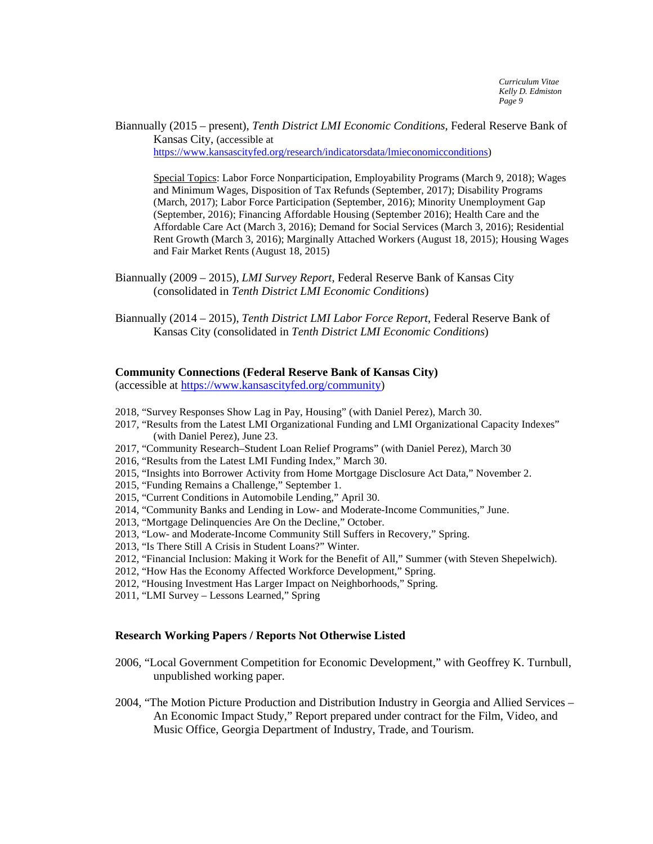Biannually (2015 – present), *Tenth District LMI Economic Conditions*, Federal Reserve Bank of Kansas City, (accessible at [https://www.kansascityfed.org/research/indicatorsdata/lmieconomicconditions\)](https://www.kansascityfed.org/research/indicatorsdata/lmieconomicconditions)

Special Topics: Labor Force Nonparticipation, Employability Programs (March 9, 2018); Wages and Minimum Wages, Disposition of Tax Refunds (September, 2017); Disability Programs (March, 2017); Labor Force Participation (September, 2016); Minority Unemployment Gap (September, 2016); Financing Affordable Housing (September 2016); Health Care and the Affordable Care Act (March 3, 2016); Demand for Social Services (March 3, 2016); Residential Rent Growth (March 3, 2016); Marginally Attached Workers (August 18, 2015); Housing Wages and Fair Market Rents (August 18, 2015)

Biannually (2009 – 2015), *LMI Survey Report*, Federal Reserve Bank of Kansas City (consolidated in *Tenth District LMI Economic Conditions*)

Biannually (2014 – 2015), *Tenth District LMI Labor Force Report*, Federal Reserve Bank of Kansas City (consolidated in *Tenth District LMI Economic Conditions*)

#### **Community Connections (Federal Reserve Bank of Kansas City)**

(accessible a[t https://www.kansascityfed.org/community\)](https://www.kansascityfed.org/community)

- 2018, "Survey Responses Show Lag in Pay, Housing" (with Daniel Perez), March 30.
- 2017, "Results from the Latest LMI Organizational Funding and LMI Organizational Capacity Indexes" (with Daniel Perez), June 23.
- 2017, "Community Research–Student Loan Relief Programs" (with Daniel Perez), March 30
- 2016, "Results from the Latest LMI Funding Index," March 30.
- 2015, "Insights into Borrower Activity from Home Mortgage Disclosure Act Data," November 2.
- 2015, "Funding Remains a Challenge," September 1.
- 2015, "Current Conditions in Automobile Lending," April 30.
- 2014, "Community Banks and Lending in Low- and Moderate-Income Communities," June.
- 2013, "Mortgage Delinquencies Are On the Decline," October.
- 2013, "Low- and Moderate-Income Community Still Suffers in Recovery," Spring.
- 2013, "Is There Still A Crisis in Student Loans?" Winter.
- 2012, "Financial Inclusion: Making it Work for the Benefit of All," Summer (with Steven Shepelwich).
- 2012, "How Has the Economy Affected Workforce Development," Spring.
- 2012, "Housing Investment Has Larger Impact on Neighborhoods," Spring.
- 2011, "LMI Survey Lessons Learned," Spring

#### **Research Working Papers / Reports Not Otherwise Listed**

- 2006, "Local Government Competition for Economic Development," with Geoffrey K. Turnbull, unpublished working paper.
- 2004, "The Motion Picture Production and Distribution Industry in Georgia and Allied Services An Economic Impact Study," Report prepared under contract for the Film, Video, and Music Office, Georgia Department of Industry, Trade, and Tourism.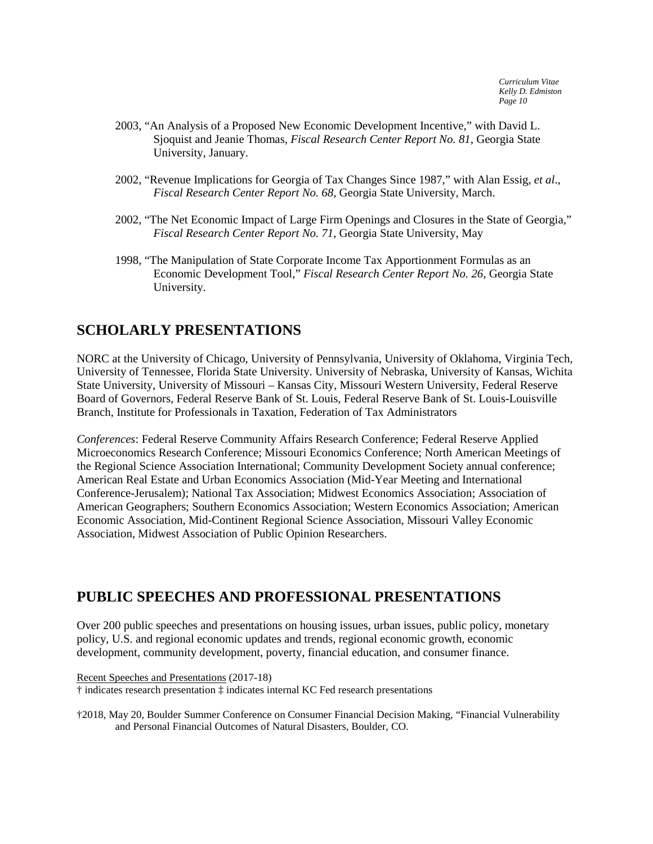- 2003, "An Analysis of a Proposed New Economic Development Incentive," with David L. Sjoquist and Jeanie Thomas, *Fiscal Research Center Report No. 81*, Georgia State University, January.
- 2002, "Revenue Implications for Georgia of Tax Changes Since 1987," with Alan Essig, *et al*., *Fiscal Research Center Report No. 68*, Georgia State University, March.
- 2002, "The Net Economic Impact of Large Firm Openings and Closures in the State of Georgia," *Fiscal Research Center Report No. 71*, Georgia State University, May
- 1998, "The Manipulation of State Corporate Income Tax Apportionment Formulas as an Economic Development Tool," *Fiscal Research Center Report No. 26*, Georgia State University.

# **SCHOLARLY PRESENTATIONS**

NORC at the University of Chicago, University of Pennsylvania, University of Oklahoma, Virginia Tech, University of Tennessee, Florida State University. University of Nebraska, University of Kansas, Wichita State University, University of Missouri – Kansas City, Missouri Western University, Federal Reserve Board of Governors, Federal Reserve Bank of St. Louis, Federal Reserve Bank of St. Louis-Louisville Branch, Institute for Professionals in Taxation, Federation of Tax Administrators

*Conferences*: Federal Reserve Community Affairs Research Conference; Federal Reserve Applied Microeconomics Research Conference; Missouri Economics Conference; North American Meetings of the Regional Science Association International; Community Development Society annual conference; American Real Estate and Urban Economics Association (Mid-Year Meeting and International Conference-Jerusalem); National Tax Association; Midwest Economics Association; Association of American Geographers; Southern Economics Association; Western Economics Association; American Economic Association, Mid-Continent Regional Science Association, Missouri Valley Economic Association, Midwest Association of Public Opinion Researchers.

# **PUBLIC SPEECHES AND PROFESSIONAL PRESENTATIONS**

Over 200 public speeches and presentations on housing issues, urban issues, public policy, monetary policy, U.S. and regional economic updates and trends, regional economic growth, economic development, community development, poverty, financial education, and consumer finance.

Recent Speeches and Presentations (2017-18)

† indicates research presentation ‡ indicates internal KC Fed research presentations

†2018, May 20, Boulder Summer Conference on Consumer Financial Decision Making, "Financial Vulnerability and Personal Financial Outcomes of Natural Disasters, Boulder, CO.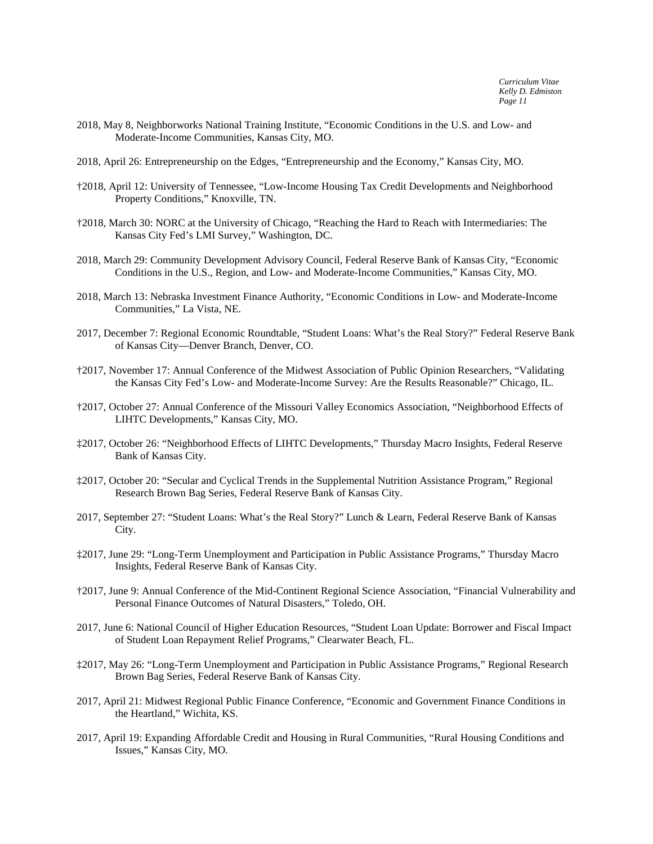- 2018, May 8, Neighborworks National Training Institute, "Economic Conditions in the U.S. and Low- and Moderate-Income Communities, Kansas City, MO.
- 2018, April 26: Entrepreneurship on the Edges, "Entrepreneurship and the Economy," Kansas City, MO.
- †2018, April 12: University of Tennessee, "Low-Income Housing Tax Credit Developments and Neighborhood Property Conditions," Knoxville, TN.
- †2018, March 30: NORC at the University of Chicago, "Reaching the Hard to Reach with Intermediaries: The Kansas City Fed's LMI Survey," Washington, DC.
- 2018, March 29: Community Development Advisory Council, Federal Reserve Bank of Kansas City, "Economic Conditions in the U.S., Region, and Low- and Moderate-Income Communities," Kansas City, MO.
- 2018, March 13: Nebraska Investment Finance Authority, "Economic Conditions in Low- and Moderate-Income Communities," La Vista, NE.
- 2017, December 7: Regional Economic Roundtable, "Student Loans: What's the Real Story?" Federal Reserve Bank of Kansas City—Denver Branch, Denver, CO.
- †2017, November 17: Annual Conference of the Midwest Association of Public Opinion Researchers, "Validating the Kansas City Fed's Low- and Moderate-Income Survey: Are the Results Reasonable?" Chicago, IL.
- †2017, October 27: Annual Conference of the Missouri Valley Economics Association, "Neighborhood Effects of LIHTC Developments," Kansas City, MO.
- ‡2017, October 26: "Neighborhood Effects of LIHTC Developments," Thursday Macro Insights, Federal Reserve Bank of Kansas City.
- ‡2017, October 20: "Secular and Cyclical Trends in the Supplemental Nutrition Assistance Program," Regional Research Brown Bag Series, Federal Reserve Bank of Kansas City.
- 2017, September 27: "Student Loans: What's the Real Story?" Lunch & Learn, Federal Reserve Bank of Kansas City.
- ‡2017, June 29: "Long-Term Unemployment and Participation in Public Assistance Programs," Thursday Macro Insights, Federal Reserve Bank of Kansas City.
- †2017, June 9: Annual Conference of the Mid-Continent Regional Science Association, "Financial Vulnerability and Personal Finance Outcomes of Natural Disasters," Toledo, OH.
- 2017, June 6: National Council of Higher Education Resources, "Student Loan Update: Borrower and Fiscal Impact of Student Loan Repayment Relief Programs," Clearwater Beach, FL.
- ‡2017, May 26: "Long-Term Unemployment and Participation in Public Assistance Programs," Regional Research Brown Bag Series, Federal Reserve Bank of Kansas City.
- 2017, April 21: Midwest Regional Public Finance Conference, "Economic and Government Finance Conditions in the Heartland," Wichita, KS.
- 2017, April 19: Expanding Affordable Credit and Housing in Rural Communities, "Rural Housing Conditions and Issues," Kansas City, MO.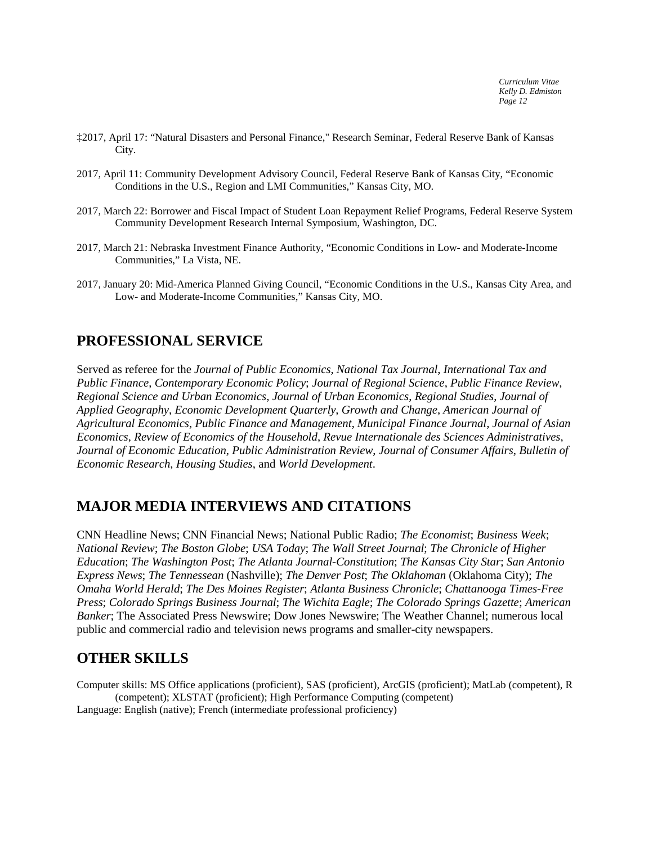- ‡2017, April 17: "Natural Disasters and Personal Finance," Research Seminar, Federal Reserve Bank of Kansas City.
- 2017, April 11: Community Development Advisory Council, Federal Reserve Bank of Kansas City, "Economic Conditions in the U.S., Region and LMI Communities," Kansas City, MO.
- 2017, March 22: Borrower and Fiscal Impact of Student Loan Repayment Relief Programs, Federal Reserve System Community Development Research Internal Symposium, Washington, DC.
- 2017, March 21: Nebraska Investment Finance Authority, "Economic Conditions in Low- and Moderate-Income Communities," La Vista, NE.
- 2017, January 20: Mid-America Planned Giving Council, "Economic Conditions in the U.S., Kansas City Area, and Low- and Moderate-Income Communities," Kansas City, MO.

# **PROFESSIONAL SERVICE**

Served as referee for the *Journal of Public Economics*, *National Tax Journal*, *International Tax and Public Finance*, *Contemporary Economic Policy*; *Journal of Regional Science*, *Public Finance Review*, *Regional Science and Urban Economics*, *Journal of Urban Economics*, *Regional Studies*, *Journal of Applied Geography*, *Economic Development Quarterly*, *Growth and Change*, *American Journal of Agricultural Economics*, *Public Finance and Management*, *Municipal Finance Journal*, *Journal of Asian Economics*, *Review of Economics of the Household*, *Revue Internationale des Sciences Administratives*, *Journal of Economic Education*, *Public Administration Review*, *Journal of Consumer Affairs*, *Bulletin of Economic Research*, *Housing Studies*, and *World Development*.

# **MAJOR MEDIA INTERVIEWS AND CITATIONS**

CNN Headline News; CNN Financial News; National Public Radio; *The Economist*; *Business Week*; *National Review*; *The Boston Globe*; *USA Today*; *The Wall Street Journal*; *The Chronicle of Higher Education*; *The Washington Post*; *The Atlanta Journal-Constitution*; *The Kansas City Star*; *San Antonio Express News*; *The Tennessean* (Nashville); *The Denver Post*; *The Oklahoman* (Oklahoma City); *The Omaha World Herald*; *The Des Moines Register*; *Atlanta Business Chronicle*; *Chattanooga Times-Free Press*; *Colorado Springs Business Journal*; *The Wichita Eagle*; *The Colorado Springs Gazette*; *American Banker*; The Associated Press Newswire; Dow Jones Newswire; The Weather Channel; numerous local public and commercial radio and television news programs and smaller-city newspapers.

# **OTHER SKILLS**

Computer skills: MS Office applications (proficient), SAS (proficient), ArcGIS (proficient); MatLab (competent), R (competent); XLSTAT (proficient); High Performance Computing (competent) Language: English (native); French (intermediate professional proficiency)